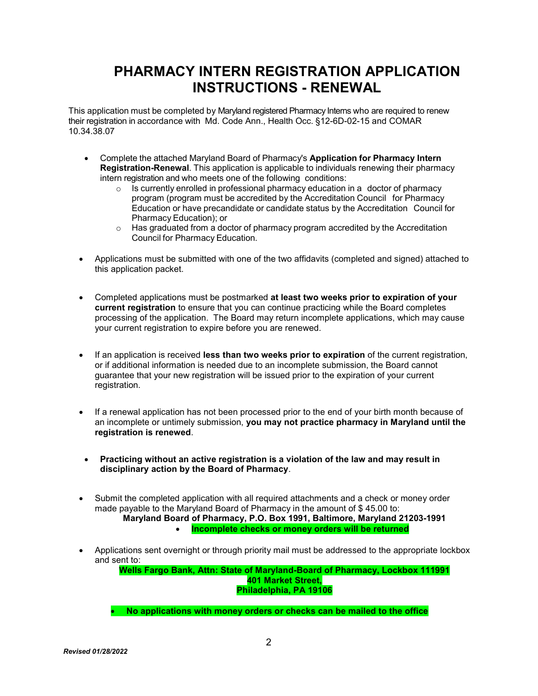# PHARMACY INTERN REGISTRATION APPLICATION INSTRUCTIONS - RENEWAL

This application must be completed by Maryland registered Pharmacy Interns who are required to renew their registration in accordance with Md. Code Ann., Health Occ. §12-6D-02-15 and COMAR 10.34.38.07

- Complete the attached Maryland Board of Pharmacy's Application for Pharmacy Intern Registration-Renewal. This application is applicable to individuals renewing their pharmacy intern registration and who meets one of the following conditions:
	- $\circ$  Is currently enrolled in professional pharmacy education in a doctor of pharmacy program (program must be accredited by the Accreditation Council for Pharmacy Education or have precandidate or candidate status by the Accreditation Council for Pharmacy Education); or
	- $\circ$  Has graduated from a doctor of pharmacy program accredited by the Accreditation Council for Pharmacy Education.
- Applications must be submitted with one of the two affidavits (completed and signed) attached to this application packet.
- Completed applications must be postmarked at least two weeks prior to expiration of your current registration to ensure that you can continue practicing while the Board completes processing of the application. The Board may return incomplete applications, which may cause your current registration to expire before you are renewed.
- If an application is received less than two weeks prior to expiration of the current registration, or if additional information is needed due to an incomplete submission, the Board cannot guarantee that your new registration will be issued prior to the expiration of your current registration.
- If a renewal application has not been processed prior to the end of your birth month because of an incomplete or untimely submission, you may not practice pharmacy in Maryland until the registration is renewed.
- Practicing without an active registration is a violation of the law and may result in disciplinary action by the Board of Pharmacy.
- Submit the completed application with all required attachments and a check or money order made payable to the Maryland Board of Pharmacy in the amount of \$ 45.00 to:
	- Maryland Board of Pharmacy, P.O. Box 1991, Baltimore, Maryland 21203-1991 Incomplete checks or money orders will be returned
- Applications sent overnight or through priority mail must be addressed to the appropriate lockbox and sent to:

Wells Fargo Bank, Attn: State of Maryland-Board of Pharmacy, Lockbox 111991 401 Market Street, Philadelphia, PA 19106

• No applications with money orders or checks can be mailed to the office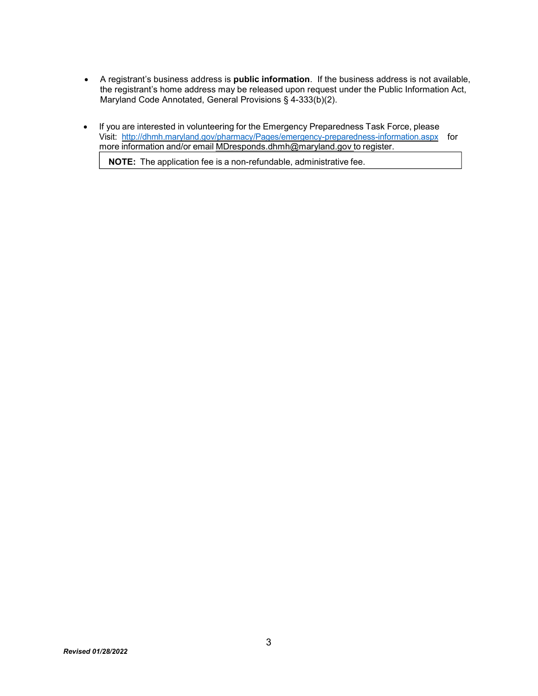- A registrant's business address is public information. If the business address is not available, the registrant's home address may be released upon request under the Public Information Act, Maryland Code Annotated, General Provisions § 4-333(b)(2).
- If you are interested in volunteering for the Emergency Preparedness Task Force, please Visit: http://dhmh.maryland.gov/pharmacy/Pages/emergency-preparedness-information.aspx for more information and/or email MDresponds.dhmh@maryland.gov to register.

NOTE: The application fee is a non-refundable, administrative fee.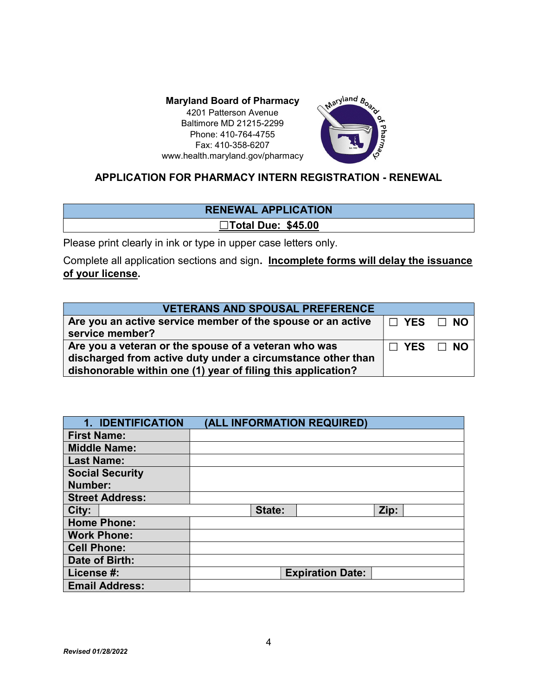4201 Patterson Avenue Baltimore MD 21215-2299 Phone: 410-764-4755 Fax: 410-358-6207 www.health.maryland.gov/pharmacy



# APPLICATION FOR PHARMACY INTERN REGISTRATION - RENEWAL

# RENEWAL APPLICATION ☐Total Due: \$45.00

Please print clearly in ink or type in upper case letters only.

Complete all application sections and sign. Incomplete forms will delay the issuance of your license.

| <b>VETERANS AND SPOUSAL PREFERENCE</b>                                                                                                                                              |  |                      |
|-------------------------------------------------------------------------------------------------------------------------------------------------------------------------------------|--|----------------------|
| Are you an active service member of the spouse or an active<br>service member?                                                                                                      |  | I□ YES □ NO          |
| Are you a veteran or the spouse of a veteran who was<br>discharged from active duty under a circumstance other than<br>dishonorable within one (1) year of filing this application? |  | $\Box$ YES $\Box$ NO |

| 1. IDENTIFICATION      | (ALL INFORMATION REQUIRED) |      |
|------------------------|----------------------------|------|
| <b>First Name:</b>     |                            |      |
| <b>Middle Name:</b>    |                            |      |
| <b>Last Name:</b>      |                            |      |
| <b>Social Security</b> |                            |      |
| Number:                |                            |      |
| <b>Street Address:</b> |                            |      |
| City:                  | State:                     | Zip: |
| <b>Home Phone:</b>     |                            |      |
| <b>Work Phone:</b>     |                            |      |
| <b>Cell Phone:</b>     |                            |      |
| Date of Birth:         |                            |      |
| License #:             | <b>Expiration Date:</b>    |      |
| <b>Email Address:</b>  |                            |      |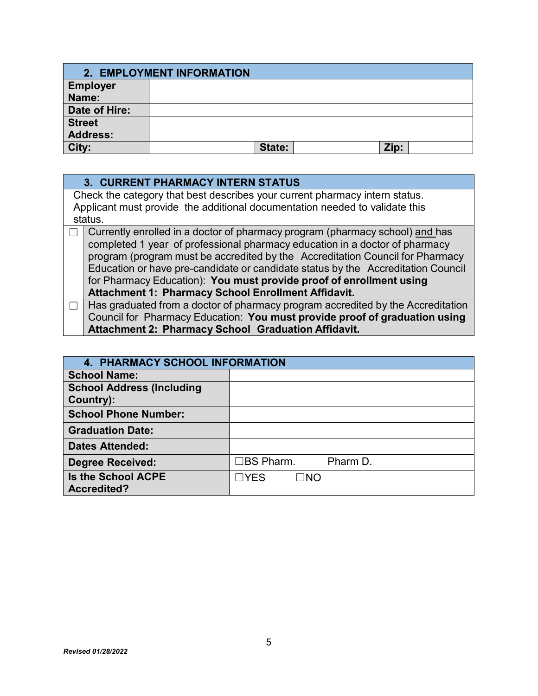|                 | 2. EMPLOYMENT INFORMATION |      |  |
|-----------------|---------------------------|------|--|
| <b>Employer</b> |                           |      |  |
| Name:           |                           |      |  |
| Date of Hire:   |                           |      |  |
| <b>Street</b>   |                           |      |  |
| <b>Address:</b> |                           |      |  |
| City:           | State:                    | Zip: |  |

| <b>3. CURRENT PHARMACY INTERN STATUS</b>                                         |
|----------------------------------------------------------------------------------|
| Check the category that best describes your current pharmacy intern status.      |
| Applicant must provide the additional documentation needed to validate this      |
| status.                                                                          |
| Currently enrolled in a doctor of pharmacy program (pharmacy school) and has     |
| completed 1 year of professional pharmacy education in a doctor of pharmacy      |
| program (program must be accredited by the Accreditation Council for Pharmacy    |
| Education or have pre-candidate or candidate status by the Accreditation Council |
| for Pharmacy Education): You must provide proof of enrollment using              |
| <b>Attachment 1: Pharmacy School Enrollment Affidavit.</b>                       |
| Has graduated from a doctor of pharmacy program accredited by the Accreditation  |
| Council for Pharmacy Education: You must provide proof of graduation using       |
| <b>Attachment 2: Pharmacy School Graduation Affidavit.</b>                       |

| <b>4. PHARMACY SCHOOL INFORMATION</b>           |                         |
|-------------------------------------------------|-------------------------|
| <b>School Name:</b>                             |                         |
| <b>School Address (Including</b><br>Country):   |                         |
| <b>School Phone Number:</b>                     |                         |
| <b>Graduation Date:</b>                         |                         |
| <b>Dates Attended:</b>                          |                         |
| <b>Degree Received:</b>                         | コBS Pharm.<br>Pharm D.  |
| <b>Is the School ACPE</b><br><b>Accredited?</b> | $\neg$ YES<br>$\Box$ NO |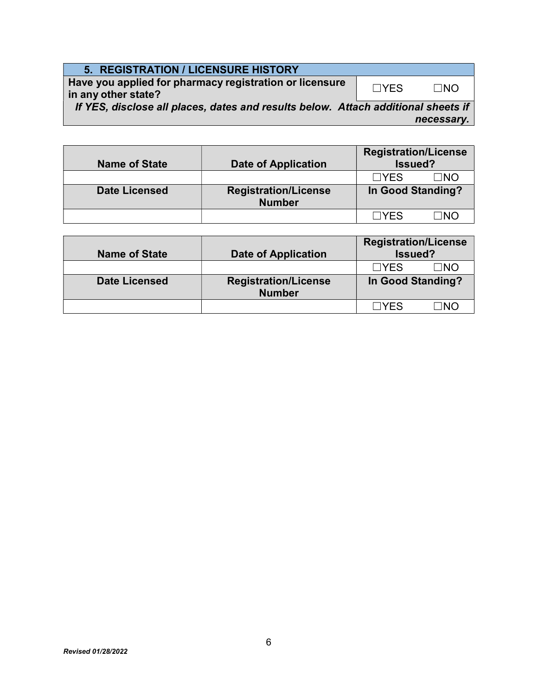| <b>5. REGISTRATION / LICENSURE HISTORY</b>                                        |            |            |
|-----------------------------------------------------------------------------------|------------|------------|
| Have you applied for pharmacy registration or licensure<br>in any other state?    | $\Box YFS$ | $\Box$ NO  |
| If YES, disclose all places, dates and results below. Attach additional sheets if |            |            |
|                                                                                   |            | necessary. |

| <b>Name of State</b> | <b>Date of Application</b>                   | <b>Registration/License</b><br>Issued? |             |
|----------------------|----------------------------------------------|----------------------------------------|-------------|
|                      |                                              | $\Box$ YES                             | $\sqcap$ NO |
| <b>Date Licensed</b> | <b>Registration/License</b><br><b>Number</b> | In Good Standing?                      |             |
|                      |                                              | $\sqcap$ YFS                           | חמר         |

| <b>Name of State</b> | <b>Date of Application</b>                   | <b>Registration/License</b><br>Issued? |  |
|----------------------|----------------------------------------------|----------------------------------------|--|
|                      |                                              | ∩מר<br>$\sqcap$ YFS                    |  |
| <b>Date Licensed</b> | <b>Registration/License</b><br><b>Number</b> | In Good Standing?                      |  |
|                      |                                              | <b>TYES</b><br>าผ∂                     |  |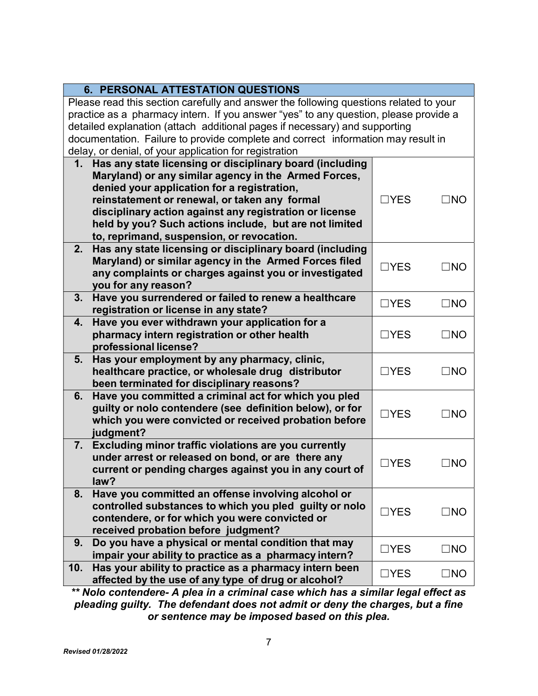| <b>6. PERSONAL ATTESTATION QUESTIONS</b>                                              |                 |              |
|---------------------------------------------------------------------------------------|-----------------|--------------|
| Please read this section carefully and answer the following questions related to your |                 |              |
| practice as a pharmacy intern. If you answer "yes" to any question, please provide a  |                 |              |
| detailed explanation (attach additional pages if necessary) and supporting            |                 |              |
| documentation. Failure to provide complete and correct information may result in      |                 |              |
| delay, or denial, of your application for registration                                |                 |              |
| 1. Has any state licensing or disciplinary board (including                           |                 |              |
| Maryland) or any similar agency in the Armed Forces,                                  |                 |              |
| denied your application for a registration,                                           |                 |              |
| reinstatement or renewal, or taken any formal                                         | $\Box$ YES      | $\Box$ NO    |
| disciplinary action against any registration or license                               |                 |              |
| held by you? Such actions include, but are not limited                                |                 |              |
| to, reprimand, suspension, or revocation.                                             |                 |              |
| Has any state licensing or disciplinary board (including<br>2.                        |                 |              |
| Maryland) or similar agency in the Armed Forces filed                                 | $\Box$ YES      | $\Box$ NO    |
| any complaints or charges against you or investigated                                 |                 |              |
| you for any reason?                                                                   |                 |              |
| 3.<br>Have you surrendered or failed to renew a healthcare                            | $\Box$ YES      | $\square$ NO |
| registration or license in any state?                                                 |                 |              |
| Have you ever withdrawn your application for a<br>4.                                  |                 |              |
| pharmacy intern registration or other health                                          | $\Box$ YES      | $\square$ NO |
| professional license?                                                                 |                 |              |
| Has your employment by any pharmacy, clinic,<br>5.                                    |                 |              |
| healthcare practice, or wholesale drug distributor                                    | $\sqsupset$ YES | $\Box$ NO    |
| been terminated for disciplinary reasons?                                             |                 |              |
| Have you committed a criminal act for which you pled<br>6.                            |                 |              |
| guilty or nolo contendere (see definition below), or for                              | $\Box$ YES      | $\square$ NO |
| which you were convicted or received probation before                                 |                 |              |
| judgment?                                                                             |                 |              |
| Excluding minor traffic violations are you currently<br>7.                            |                 |              |
| under arrest or released on bond, or are there any                                    | $\sqsupset$ YES | $\Box$ NO    |
| current or pending charges against you in any court of                                |                 |              |
| law?                                                                                  |                 |              |
| 8.<br>Have you committed an offense involving alcohol or                              |                 |              |
| controlled substances to which you pled guilty or nolo                                | $\Box$ YES      | $\square$ NO |
| contendere, or for which you were convicted or                                        |                 |              |
| received probation before judgment?                                                   |                 |              |
| Do you have a physical or mental condition that may<br>9.                             | $\Box$ YES      | $\square$ NO |
| impair your ability to practice as a pharmacy intern?                                 |                 |              |
| Has your ability to practice as a pharmacy intern been<br>10.                         | $\Box$ YES      | $\square$ NO |
| affected by the use of any type of drug or alcohol?                                   |                 |              |

\*\* Nolo contendere- A plea in a criminal case which has a similar legal effect as pleading guilty. The defendant does not admit or deny the charges, but a fine or sentence may be imposed based on this plea.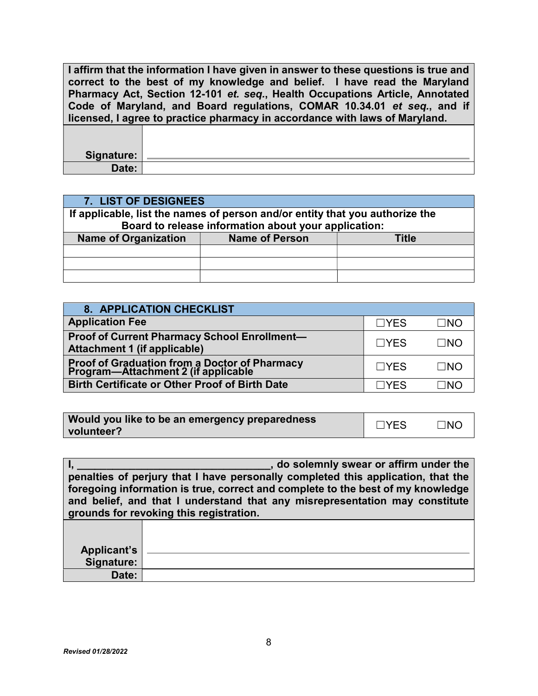I affirm that the information I have given in answer to these questions is true and correct to the best of my knowledge and belief. I have read the Maryland Pharmacy Act, Section 12-101 et. seq., Health Occupations Article, Annotated Code of Maryland, and Board regulations, COMAR 10.34.01 et seq., and if licensed, I agree to practice pharmacy in accordance with laws of Maryland.

Signature: Date:

| 7. LIST OF DESIGNEES                                                         |                                                      |       |  |
|------------------------------------------------------------------------------|------------------------------------------------------|-------|--|
| If applicable, list the names of person and/or entity that you authorize the |                                                      |       |  |
|                                                                              | Board to release information about your application: |       |  |
| <b>Name of Organization</b>                                                  | <b>Name of Person</b>                                | Title |  |
|                                                                              |                                                      |       |  |
|                                                                              |                                                      |       |  |
|                                                                              |                                                      |       |  |

| <b>8. APPLICATION CHECKLIST</b>                                                              |            |           |
|----------------------------------------------------------------------------------------------|------------|-----------|
| <b>Application Fee</b>                                                                       | $\Box$ YES | $\Box$ NO |
| Proof of Current Pharmacy School Enrollment-<br><b>Attachment 1 (if applicable)</b>          | $\Box$ YES | ⊟NO       |
| <b>Proof of Graduation from a Doctor of Pharmacy<br/>Program—Attachment 2 (if applicable</b> | $\Box$ YES | $\Box$ No |
| <b>Birth Certificate or Other Proof of Birth Date</b>                                        | ΠYFS       | ∃Nſ       |

| Would you like to be an emergency preparedness | $\Box$ YES | $\neg$ NO |
|------------------------------------------------|------------|-----------|
| volunteer?                                     |            |           |

|             | , do solemnly swear or affirm under the                                          |
|-------------|----------------------------------------------------------------------------------|
|             | penalties of perjury that I have personally completed this application, that the |
|             | foregoing information is true, correct and complete to the best of my knowledge  |
|             | and belief, and that I understand that any misrepresentation may constitute      |
|             | grounds for revoking this registration.                                          |
|             |                                                                                  |
|             |                                                                                  |
| Applicant's |                                                                                  |
| Signature:  |                                                                                  |
| Date:       |                                                                                  |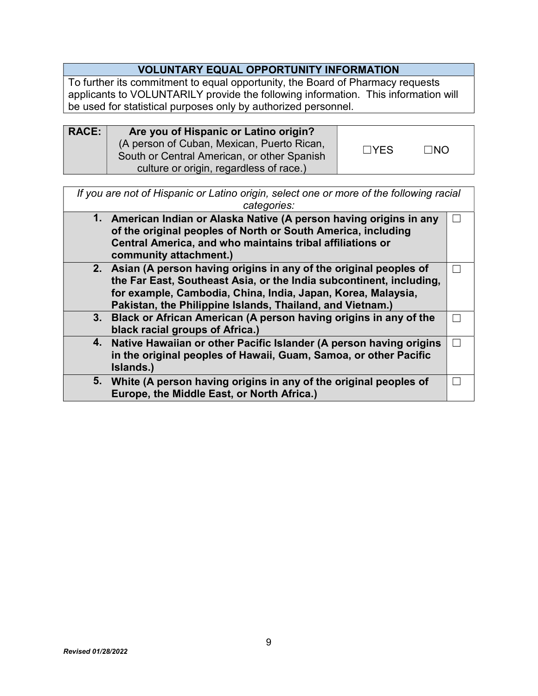# VOLUNTARY EQUAL OPPORTUNITY INFORMATION

To further its commitment to equal opportunity, the Board of Pharmacy requests applicants to VOLUNTARILY provide the following information. This information will be used for statistical purposes only by authorized personnel.

| <b>RACE:</b> | Are you of Hispanic or Latino origin?<br>(A person of Cuban, Mexican, Puerto Rican,<br>South or Central American, or other Spanish | $\Box$ YES | $\Box$ NO |  |
|--------------|------------------------------------------------------------------------------------------------------------------------------------|------------|-----------|--|
|              | culture or origin, regardless of race.)                                                                                            |            |           |  |

If you are not of Hispanic or Latino origin, select one or more of the following racial categories:

| 1. American Indian or Alaska Native (A person having origins in any<br>of the original peoples of North or South America, including<br>Central America, and who maintains tribal affiliations or<br>community attachment.) |  |
|----------------------------------------------------------------------------------------------------------------------------------------------------------------------------------------------------------------------------|--|
| 2. Asian (A person having origins in any of the original peoples of                                                                                                                                                        |  |
| the Far East, Southeast Asia, or the India subcontinent, including,                                                                                                                                                        |  |
| for example, Cambodia, China, India, Japan, Korea, Malaysia,                                                                                                                                                               |  |
| Pakistan, the Philippine Islands, Thailand, and Vietnam.)                                                                                                                                                                  |  |
| 3. Black or African American (A person having origins in any of the                                                                                                                                                        |  |
| black racial groups of Africa.)                                                                                                                                                                                            |  |
| 4. Native Hawaiian or other Pacific Islander (A person having origins                                                                                                                                                      |  |
| in the original peoples of Hawaii, Guam, Samoa, or other Pacific                                                                                                                                                           |  |
| Islands.)                                                                                                                                                                                                                  |  |
| 5. White (A person having origins in any of the original peoples of                                                                                                                                                        |  |
| Europe, the Middle East, or North Africa.)                                                                                                                                                                                 |  |
|                                                                                                                                                                                                                            |  |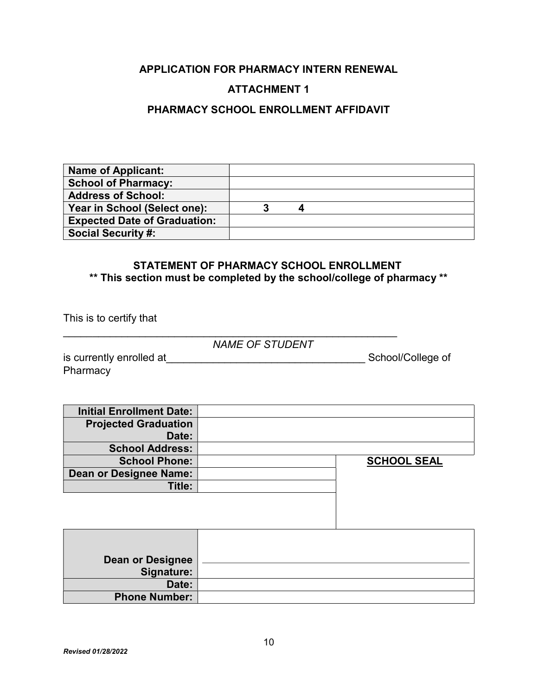### APPLICATION FOR PHARMACY INTERN RENEWAL

# ATTACHMENT 1

#### PHARMACY SCHOOL ENROLLMENT AFFIDAVIT

| <b>Name of Applicant:</b>           |  |  |
|-------------------------------------|--|--|
| <b>School of Pharmacy:</b>          |  |  |
| <b>Address of School:</b>           |  |  |
| Year in School (Select one):        |  |  |
| <b>Expected Date of Graduation:</b> |  |  |
| <b>Social Security #:</b>           |  |  |

#### STATEMENT OF PHARMACY SCHOOL ENROLLMENT \*\* This section must be completed by the school/college of pharmacy \*\*

This is to certify that

NAME OF STUDENT

 $\mathcal{L}_\text{max}$  and  $\mathcal{L}_\text{max}$  and  $\mathcal{L}_\text{max}$  and  $\mathcal{L}_\text{max}$  and  $\mathcal{L}_\text{max}$  and  $\mathcal{L}_\text{max}$ 

is currently enrolled at\_\_\_\_\_\_\_\_\_\_\_\_\_\_\_\_\_\_\_\_\_\_\_\_\_\_\_\_\_\_\_\_\_\_ School/College of **Pharmacy** 

| <b>Initial Enrollment Date:</b> |                    |
|---------------------------------|--------------------|
| <b>Projected Graduation</b>     |                    |
| Date:                           |                    |
| <b>School Address:</b>          |                    |
| <b>School Phone:</b>            | <b>SCHOOL SEAL</b> |
| Dean or Designee Name:          |                    |
| Title:                          |                    |
|                                 |                    |

| <b>Dean or Designee</b><br>Signature: |  |
|---------------------------------------|--|
| Date:                                 |  |
| <b>Phone Number:</b>                  |  |